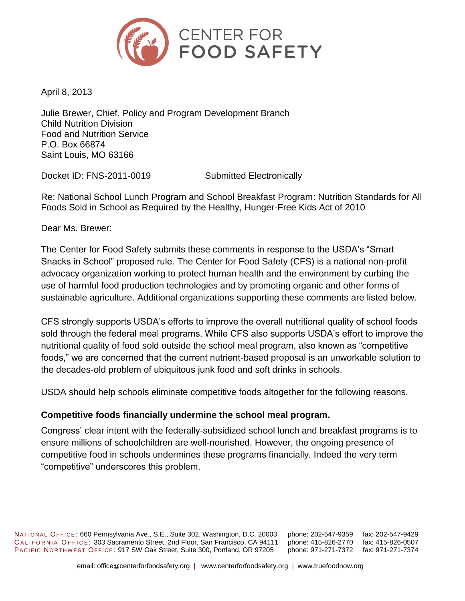

April 8, 2013

Julie Brewer, Chief, Policy and Program Development Branch Child Nutrition Division Food and Nutrition Service P.O. Box 66874 Saint Louis, MO 63166

Docket ID: FNS-2011-0019 Submitted Electronically

Re: National School Lunch Program and School Breakfast Program: Nutrition Standards for All Foods Sold in School as Required by the Healthy, Hunger-Free Kids Act of 2010

Dear Ms. Brewer:

The Center for Food Safety submits these comments in response to the USDA's "Smart Snacks in School" proposed rule. The Center for Food Safety (CFS) is a national non-profit advocacy organization working to protect human health and the environment by curbing the use of harmful food production technologies and by promoting organic and other forms of sustainable agriculture. Additional organizations supporting these comments are listed below.

CFS strongly supports USDA's efforts to improve the overall nutritional quality of school foods sold through the federal meal programs. While CFS also supports USDA's effort to improve the nutritional quality of food sold outside the school meal program, also known as "competitive foods," we are concerned that the current nutrient-based proposal is an unworkable solution to the decades-old problem of ubiquitous junk food and soft drinks in schools.

USDA should help schools eliminate competitive foods altogether for the following reasons.

### **Competitive foods financially undermine the school meal program.**

Congress' clear intent with the federally-subsidized school lunch and breakfast programs is to ensure millions of schoolchildren are well-nourished. However, the ongoing presence of competitive food in schools undermines these programs financially. Indeed the very term "competitive" underscores this problem.

NATIONAL OFFICE: 660 Pennsylvania Ave., S.E., Suite 302, Washington, D.C. 20003 phone: 202-547-9359 fax: 202-547-9429 CALIFORNIA OFFICE: 303 Sacramento Street, 2nd Floor, San Francisco, CA 94111 phone: 415-826-2770 fax: 415-826-0507 PACIFIC NORTHWEST OFFICE: 917 SW Oak Street, Suite 300, Portland, OR 97205 phone: 971-271-7372 fax: 971-271-7374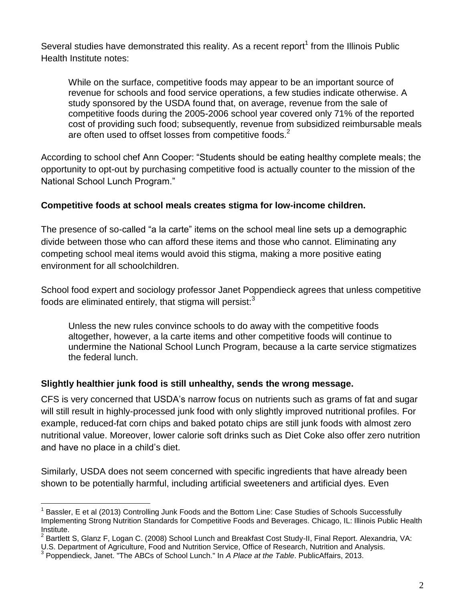Several studies have demonstrated this reality. As a recent report<sup>1</sup> from the Illinois Public Health Institute notes:

While on the surface, competitive foods may appear to be an important source of revenue for schools and food service operations, a few studies indicate otherwise. A study sponsored by the USDA found that, on average, revenue from the sale of competitive foods during the 2005-2006 school year covered only 71% of the reported cost of providing such food; subsequently, revenue from subsidized reimbursable meals are often used to offset losses from competitive foods.<sup>2</sup>

According to school chef Ann Cooper: "Students should be eating healthy complete meals; the opportunity to opt-out by purchasing competitive food is actually counter to the mission of the National School Lunch Program."

## **Competitive foods at school meals creates stigma for low-income children.**

The presence of so-called "a la carte" items on the school meal line sets up a demographic divide between those who can afford these items and those who cannot. Eliminating any competing school meal items would avoid this stigma, making a more positive eating environment for all schoolchildren.

School food expert and sociology professor Janet Poppendieck agrees that unless competitive foods are eliminated entirely, that stigma will persist: $3$ 

Unless the new rules convince schools to do away with the competitive foods altogether, however, a la carte items and other competitive foods will continue to undermine the National School Lunch Program, because a la carte service stigmatizes the federal lunch.

### **Slightly healthier junk food is still unhealthy, sends the wrong message.**

CFS is very concerned that USDA's narrow focus on nutrients such as grams of fat and sugar will still result in highly-processed junk food with only slightly improved nutritional profiles. For example, reduced-fat corn chips and baked potato chips are still junk foods with almost zero nutritional value. Moreover, lower calorie soft drinks such as Diet Coke also offer zero nutrition and have no place in a child's diet.

Similarly, USDA does not seem concerned with specific ingredients that have already been shown to be potentially harmful, including artificial sweeteners and artificial dyes. Even

 $\overline{a}$ 1 Bassler, E et al (2013) Controlling Junk Foods and the Bottom Line: Case Studies of Schools Successfully Implementing Strong Nutrition Standards for Competitive Foods and Beverages. Chicago, IL: Illinois Public Health Institute.

<sup>&</sup>lt;sup>2</sup> Bartlett S, Glanz F, Logan C. (2008) School Lunch and Breakfast Cost Study-II, Final Report. Alexandria, VA:

U.S. Department of Agriculture, Food and Nutrition Service, Office of Research, Nutrition and Analysis.

<sup>3</sup> Poppendieck, Janet. "The ABCs of School Lunch." In *A Place at the Table*. PublicAffairs, 2013.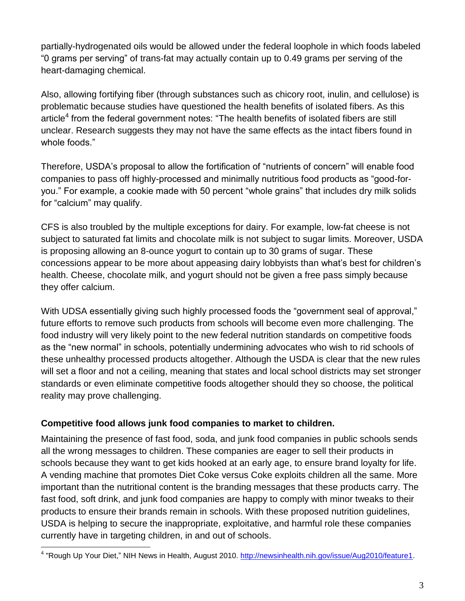partially-hydrogenated oils would be allowed under the federal loophole in which foods labeled "0 grams per serving" of trans-fat may actually contain up to 0.49 grams per serving of the heart-damaging chemical.

Also, allowing fortifying fiber (through substances such as chicory root, inulin, and cellulose) is problematic because studies have questioned the health benefits of isolated fibers. As this article<sup>4</sup> from the federal government notes: "The health benefits of isolated fibers are still unclear. Research suggests they may not have the same effects as the intact fibers found in whole foods."

Therefore, USDA's proposal to allow the fortification of "nutrients of concern" will enable food companies to pass off highly-processed and minimally nutritious food products as "good-foryou." For example, a cookie made with 50 percent "whole grains" that includes dry milk solids for "calcium" may qualify.

CFS is also troubled by the multiple exceptions for dairy. For example, low-fat cheese is not subject to saturated fat limits and chocolate milk is not subject to sugar limits. Moreover, USDA is proposing allowing an 8-ounce yogurt to contain up to 30 grams of sugar. These concessions appear to be more about appeasing dairy lobbyists than what's best for children's health. Cheese, chocolate milk, and yogurt should not be given a free pass simply because they offer calcium.

With UDSA essentially giving such highly processed foods the "government seal of approval," future efforts to remove such products from schools will become even more challenging. The food industry will very likely point to the new federal nutrition standards on competitive foods as the "new normal" in schools, potentially undermining advocates who wish to rid schools of these unhealthy processed products altogether. Although the USDA is clear that the new rules will set a floor and not a ceiling, meaning that states and local school districts may set stronger standards or even eliminate competitive foods altogether should they so choose, the political reality may prove challenging.

# **Competitive food allows junk food companies to market to children.**

Maintaining the presence of fast food, soda, and junk food companies in public schools sends all the wrong messages to children. These companies are eager to sell their products in schools because they want to get kids hooked at an early age, to ensure brand loyalty for life. A vending machine that promotes Diet Coke versus Coke exploits children all the same. More important than the nutritional content is the branding messages that these products carry. The fast food, soft drink, and junk food companies are happy to comply with minor tweaks to their products to ensure their brands remain in schools. With these proposed nutrition guidelines, USDA is helping to secure the inappropriate, exploitative, and harmful role these companies currently have in targeting children, in and out of schools.

 4 "Rough Up Your Diet," NIH News in Health, August 2010. [http://newsinhealth.nih.gov/issue/Aug2010/feature1.](http://newsinhealth.nih.gov/issue/Aug2010/feature1)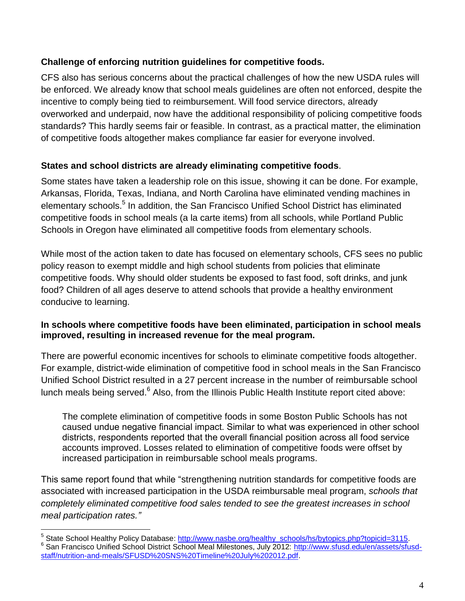# **Challenge of enforcing nutrition guidelines for competitive foods.**

CFS also has serious concerns about the practical challenges of how the new USDA rules will be enforced. We already know that school meals guidelines are often not enforced, despite the incentive to comply being tied to reimbursement. Will food service directors, already overworked and underpaid, now have the additional responsibility of policing competitive foods standards? This hardly seems fair or feasible. In contrast, as a practical matter, the elimination of competitive foods altogether makes compliance far easier for everyone involved.

## **States and school districts are already eliminating competitive foods**.

Some states have taken a leadership role on this issue, showing it can be done. For example, Arkansas, Florida, Texas, Indiana, and North Carolina have eliminated vending machines in elementary schools.<sup>5</sup> In addition, the San Francisco Unified School District has eliminated competitive foods in school meals (a la carte items) from all schools, while Portland Public Schools in Oregon have eliminated all competitive foods from elementary schools.

While most of the action taken to date has focused on elementary schools, CFS sees no public policy reason to exempt middle and high school students from policies that eliminate competitive foods. Why should older students be exposed to fast food, soft drinks, and junk food? Children of all ages deserve to attend schools that provide a healthy environment conducive to learning.

### **In schools where competitive foods have been eliminated, participation in school meals improved, resulting in increased revenue for the meal program.**

There are powerful economic incentives for schools to eliminate competitive foods altogether. For example, district-wide elimination of competitive food in school meals in the San Francisco Unified School District resulted in a 27 percent increase in the number of reimbursable school lunch meals being served.<sup>6</sup> Also, from the Illinois Public Health Institute report cited above:

The complete elimination of competitive foods in some Boston Public Schools has not caused undue negative financial impact. Similar to what was experienced in other school districts, respondents reported that the overall financial position across all food service accounts improved. Losses related to elimination of competitive foods were offset by increased participation in reimbursable school meals programs.

This same report found that while "strengthening nutrition standards for competitive foods are associated with increased participation in the USDA reimbursable meal program, *schools that completely eliminated competitive food sales tended to see the greatest increases in school meal participation rates."*

 $\overline{a}$ 

<sup>&</sup>lt;sup>5</sup> State School Healthy Policy Database: [http://www.nasbe.org/healthy\\_schools/hs/bytopics.php?topicid=3115.](http://www.nasbe.org/healthy_schools/hs/bytopics.php?topicid=3115) <sup>6</sup> San Francisco Unified School District School Meal Milestones, July 2012: [http://www.sfusd.edu/en/assets/sfusd](http://www.sfusd.edu/en/assets/sfusd-staff/nutrition-and-meals/SFUSD%20SNS%20Timeline%20July%202012.pdf)[staff/nutrition-and-meals/SFUSD%20SNS%20Timeline%20July%202012.pdf.](http://www.sfusd.edu/en/assets/sfusd-staff/nutrition-and-meals/SFUSD%20SNS%20Timeline%20July%202012.pdf)